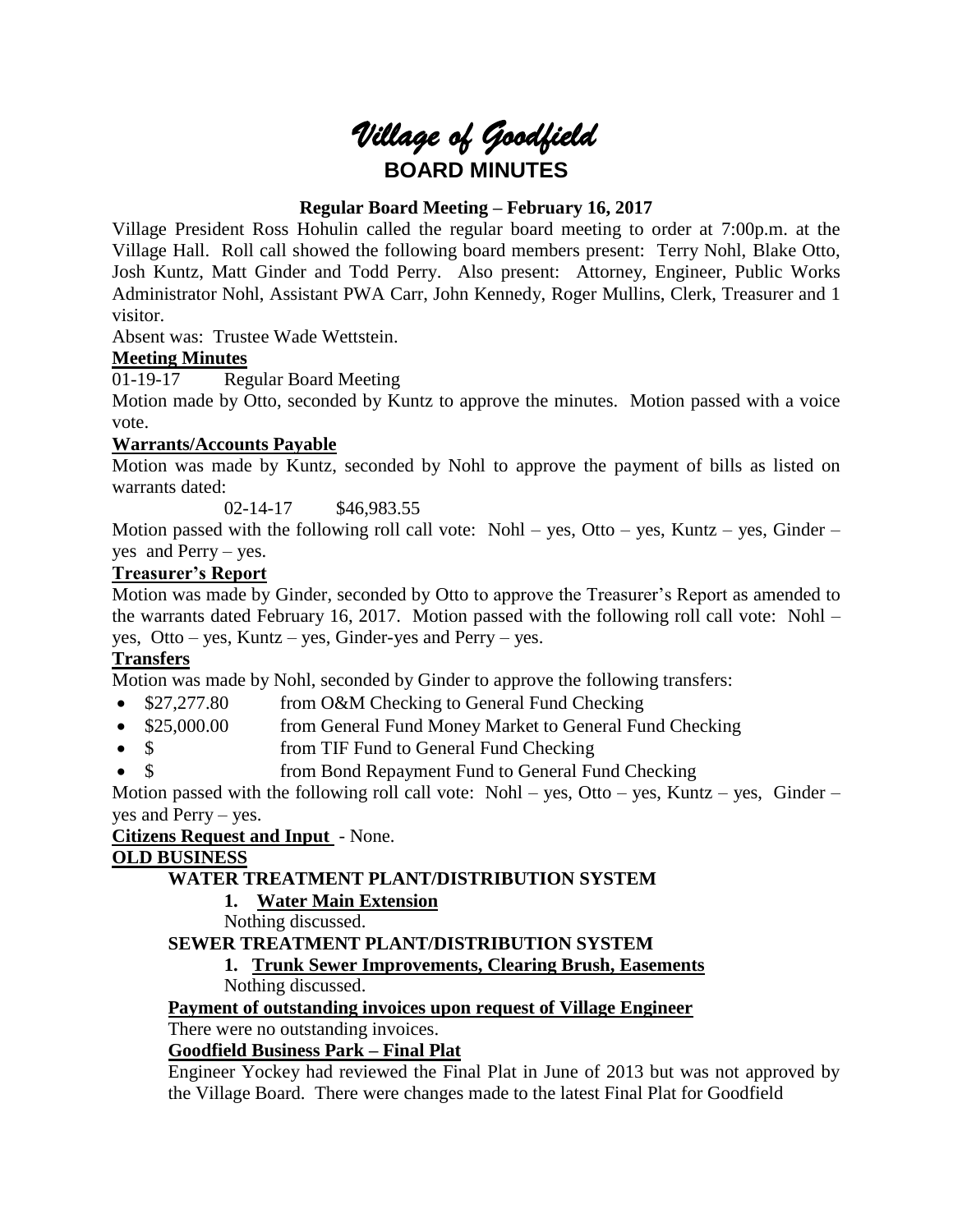

# **Regular Board Meeting – February 16, 2017**

Village President Ross Hohulin called the regular board meeting to order at 7:00p.m. at the Village Hall. Roll call showed the following board members present: Terry Nohl, Blake Otto, Josh Kuntz, Matt Ginder and Todd Perry. Also present: Attorney, Engineer, Public Works Administrator Nohl, Assistant PWA Carr, John Kennedy, Roger Mullins, Clerk, Treasurer and 1 visitor.

Absent was: Trustee Wade Wettstein.

## **Meeting Minutes**

01-19-17 Regular Board Meeting

Motion made by Otto, seconded by Kuntz to approve the minutes. Motion passed with a voice vote.

# **Warrants/Accounts Payable**

Motion was made by Kuntz, seconded by Nohl to approve the payment of bills as listed on warrants dated:

02-14-17 \$46,983.55

Motion passed with the following roll call vote: Nohl – yes, Otto – yes, Kuntz – yes, Ginder – yes and Perry – yes.

# **Treasurer's Report**

Motion was made by Ginder, seconded by Otto to approve the Treasurer's Report as amended to the warrants dated February 16, 2017. Motion passed with the following roll call vote: Nohl – yes, Otto – yes, Kuntz – yes, Ginder-yes and Perry – yes.

# **Transfers**

Motion was made by Nohl, seconded by Ginder to approve the following transfers:

- \$27,277.80 from O&M Checking to General Fund Checking
- \$25,000.00 from General Fund Money Market to General Fund Checking
- \$ from TIF Fund to General Fund Checking
- \$ from Bond Repayment Fund to General Fund Checking

Motion passed with the following roll call vote: Nohl – yes, Otto – yes, Kuntz – yes, Ginder – yes and Perry – yes.

## **Citizens Request and Input** - None.

## **OLD BUSINESS**

# **WATER TREATMENT PLANT/DISTRIBUTION SYSTEM**

## **1. Water Main Extension**

Nothing discussed.

# **SEWER TREATMENT PLANT/DISTRIBUTION SYSTEM**

**1. Trunk Sewer Improvements, Clearing Brush, Easements** Nothing discussed.

## **Payment of outstanding invoices upon request of Village Engineer**

There were no outstanding invoices.

## **Goodfield Business Park – Final Plat**

Engineer Yockey had reviewed the Final Plat in June of 2013 but was not approved by the Village Board. There were changes made to the latest Final Plat for Goodfield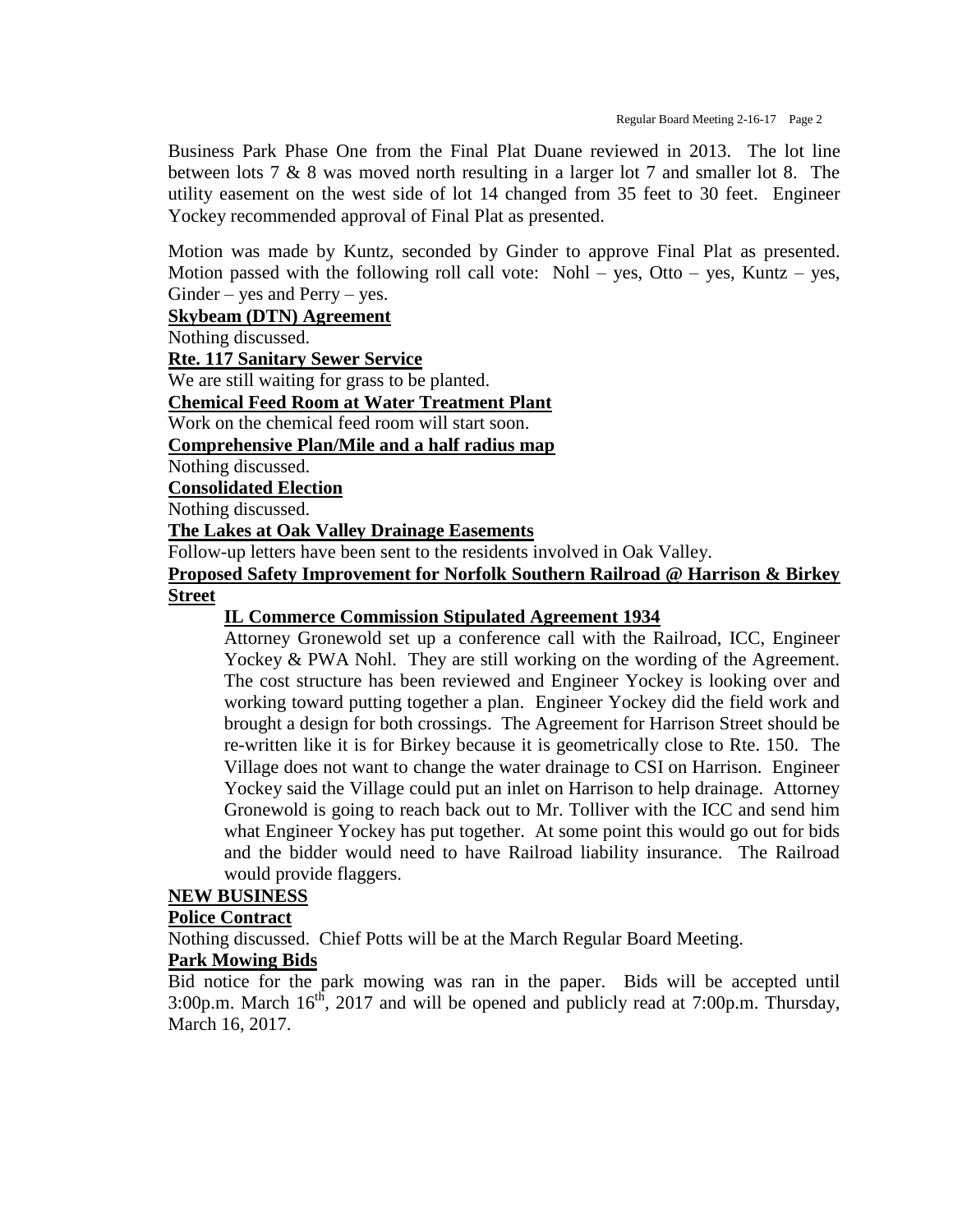Business Park Phase One from the Final Plat Duane reviewed in 2013. The lot line between lots 7 & 8 was moved north resulting in a larger lot 7 and smaller lot 8. The utility easement on the west side of lot 14 changed from 35 feet to 30 feet. Engineer Yockey recommended approval of Final Plat as presented.

Motion was made by Kuntz, seconded by Ginder to approve Final Plat as presented. Motion passed with the following roll call vote: Nohl – yes, Otto – yes, Kuntz – yes,  $Ginder - yes$  and  $Perry - yes$ .

#### **Skybeam (DTN) Agreement**

Nothing discussed.

**Rte. 117 Sanitary Sewer Service**

We are still waiting for grass to be planted.

**Chemical Feed Room at Water Treatment Plant**

Work on the chemical feed room will start soon.

**Comprehensive Plan/Mile and a half radius map**

Nothing discussed.

**Consolidated Election**

Nothing discussed.

**The Lakes at Oak Valley Drainage Easements**

Follow-up letters have been sent to the residents involved in Oak Valley.

**Proposed Safety Improvement for Norfolk Southern Railroad @ Harrison & Birkey Street** 

#### **IL Commerce Commission Stipulated Agreement 1934**

Attorney Gronewold set up a conference call with the Railroad, ICC, Engineer Yockey & PWA Nohl. They are still working on the wording of the Agreement. The cost structure has been reviewed and Engineer Yockey is looking over and working toward putting together a plan. Engineer Yockey did the field work and brought a design for both crossings. The Agreement for Harrison Street should be re-written like it is for Birkey because it is geometrically close to Rte. 150. The Village does not want to change the water drainage to CSI on Harrison. Engineer Yockey said the Village could put an inlet on Harrison to help drainage. Attorney Gronewold is going to reach back out to Mr. Tolliver with the ICC and send him what Engineer Yockey has put together. At some point this would go out for bids and the bidder would need to have Railroad liability insurance. The Railroad would provide flaggers.

### **NEW BUSINESS**

#### **Police Contract**

Nothing discussed. Chief Potts will be at the March Regular Board Meeting.

## **Park Mowing Bids**

Bid notice for the park mowing was ran in the paper. Bids will be accepted until 3:00p.m. March  $16<sup>th</sup>$ , 2017 and will be opened and publicly read at 7:00p.m. Thursday, March 16, 2017.